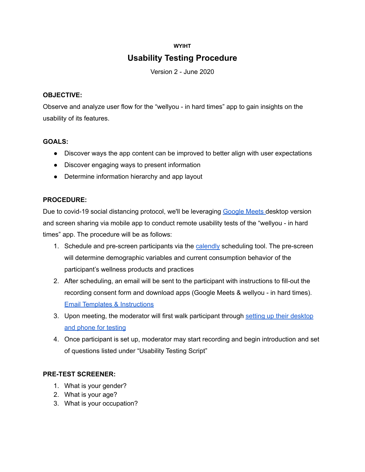## **WYIHT**

# **Usability Testing Procedure**

Version 2 - June 2020

## **OBJECTIVE:**

Observe and analyze user flow for the "wellyou - in hard times" app to gain insights on the usability of its features.

## **GOALS:**

- Discover ways the app content can be improved to better align with user expectations
- Discover engaging ways to present information
- Determine information hierarchy and app layout

# **PROCEDURE:**

Due to covid-19 social distancing protocol, we'll be leveraging [Google](https://apps.google.com/meet/?utm_source=google&utm_medium=cpc&utm_campaign=na-US-all-en-dr-bkws-all-all-trial-b-dr-1008072&utm_content=text-ad-none-any-DEV_c-CRE_435199693897-ADGP_Hybrid+%7C+AW+SEM+%7C+BKWS+~+BMM+//+Google+Meet+//+Google+Meet-KWID_43700053724035188-aud-344596424791:kwd-405456583893&utm_term=KW_%2Bmeet%20%2Bgoogle-ST_%2Bmeet+%2Bgoogle&gclid=CjwKCAjwltH3BRB6EiwAhj0IUMn98jC81Jyg-XM6xoGsThpTLuzWR2btTvYGq6R4LbUNjRi6CMAMtxoCmZsQAvD_BwE&gclsrc=aw.ds) Meets desktop version and screen sharing via mobile app to conduct remote usability tests of the "wellyou - in hard times" app. The procedure will be as follows:

- 1. Schedule and pre-screen participants via the [calendly](https://calendly.com/) scheduling tool. The pre-screen will determine demographic variables and current consumption behavior of the participant's wellness products and practices
- 2. After scheduling, an email will be sent to the participant with instructions to fill-out the recording consent form and download apps (Google Meets & wellyou - in hard times). Email Templates & [Instructions](https://docs.google.com/document/d/1knoctcuHzhKQK8ZBFTkMuiw8F6pm_r5tCLmkXP0rmRs/edit#heading=h.rrqkd49o7zcm)
- 3. Upon meeting, the moderator will first walk participant through setting up their [desktop](https://www.figma.com/proto/ft2rNgJ4bG9lng7eJVLObA/Untitled?node-id=1%3A15&viewport=699%2C-743%2C0.20098277926445007&scaling=scale-down) and phone for [testing](https://www.figma.com/proto/ft2rNgJ4bG9lng7eJVLObA/Untitled?node-id=1%3A15&viewport=699%2C-743%2C0.20098277926445007&scaling=scale-down)
- 4. Once participant is set up, moderator may start recording and begin introduction and set of questions listed under "Usability Testing Script"

# **PRE-TEST SCREENER:**

- 1. What is your gender?
- 2. What is your age?
- 3. What is your occupation?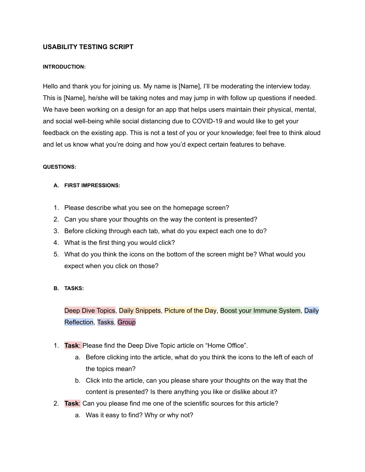## **USABILITY TESTING SCRIPT**

#### **INTRODUCTION:**

Hello and thank you for joining us. My name is [Name], I'll be moderating the interview today. This is [Name], he/she will be taking notes and may jump in with follow up questions if needed. We have been working on a design for an app that helps users maintain their physical, mental, and social well-being while social distancing due to COVID-19 and would like to get your feedback on the existing app. This is not a test of you or your knowledge; feel free to think aloud and let us know what you're doing and how you'd expect certain features to behave.

#### **QUESTIONS:**

#### **A. FIRST IMPRESSIONS:**

- 1. Please describe what you see on the homepage screen?
- 2. Can you share your thoughts on the way the content is presented?
- 3. Before clicking through each tab, what do you expect each one to do?
- 4. What is the first thing you would click?
- 5. What do you think the icons on the bottom of the screen might be? What would you expect when you click on those?

#### **B. TASKS:**

Deep Dive Topics, Daily Snippets, Picture of the Day, Boost your Immune System, Daily Reflection, Tasks, Group

- 1. **Task**: Please find the Deep Dive Topic article on "Home Office".
	- a. Before clicking into the article, what do you think the icons to the left of each of the topics mean?
	- b. Click into the article, can you please share your thoughts on the way that the content is presented? Is there anything you like or dislike about it?
- 2. **Task**: Can you please find me one of the scientific sources for this article?
	- a. Was it easy to find? Why or why not?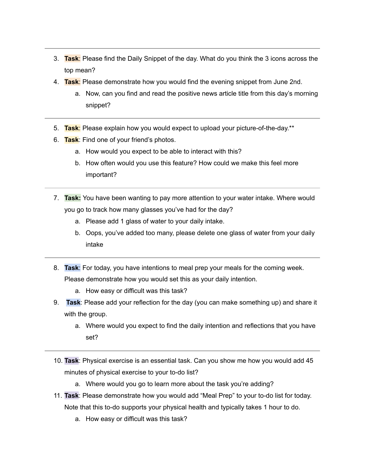- 3. **Task**: Please find the Daily Snippet of the day. What do you think the 3 icons across the top mean?
- 4. **Task**: Please demonstrate how you would find the evening snippet from June 2nd.
	- a. Now, can you find and read the positive news article title from this day's morning snippet?
- 5. **Task**: Please explain how you would expect to upload your picture-of-the-day.\*\*
- 6. **Task**: Find one of your friend's photos.
	- a. How would you expect to be able to interact with this?
	- b. How often would you use this feature? How could we make this feel more important?
- 7. **Task:** You have been wanting to pay more attention to your water intake. Where would you go to track how many glasses you've had for the day?
	- a. Please add 1 glass of water to your daily intake.
	- b. Oops, you've added too many, please delete one glass of water from your daily intake
- 8. **Task**: For today, you have intentions to meal prep your meals for the coming week. Please demonstrate how you would set this as your daily intention.
	- a. How easy or difficult was this task?
- 9. **Task**: Please add your reflection for the day (you can make something up) and share it with the group.
	- a. Where would you expect to find the daily intention and reflections that you have set?
- 10. **Task**: Physical exercise is an essential task. Can you show me how you would add 45 minutes of physical exercise to your to-do list?
	- a. Where would you go to learn more about the task you're adding?
- 11. **Task**: Please demonstrate how you would add "Meal Prep" to your to-do list for today. Note that this to-do supports your physical health and typically takes 1 hour to do.
	- a. How easy or difficult was this task?